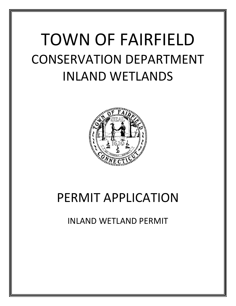# TOWN OF FAIRFIELD CONSERVATION DEPARTMENT INLAND WETLANDS



## PERMIT APPLICATION

INLAND WETLAND PERMIT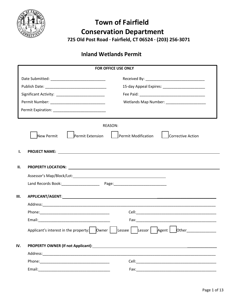

## **Town of Fairfield Conservation Department 725 Old Post Road ∙ Fairfield, CT 06524 ∙ (203) 256‐3071**

### **Inland Wetlands Permit**

|      |                                                                                                                                                                                                                                | FOR OFFICE USE ONLY                                                                                                                                                                                                                  |
|------|--------------------------------------------------------------------------------------------------------------------------------------------------------------------------------------------------------------------------------|--------------------------------------------------------------------------------------------------------------------------------------------------------------------------------------------------------------------------------------|
|      |                                                                                                                                                                                                                                |                                                                                                                                                                                                                                      |
|      |                                                                                                                                                                                                                                |                                                                                                                                                                                                                                      |
|      |                                                                                                                                                                                                                                |                                                                                                                                                                                                                                      |
|      |                                                                                                                                                                                                                                | Wetlands Map Number: ____________________                                                                                                                                                                                            |
|      |                                                                                                                                                                                                                                |                                                                                                                                                                                                                                      |
|      |                                                                                                                                                                                                                                |                                                                                                                                                                                                                                      |
|      |                                                                                                                                                                                                                                | REASON:                                                                                                                                                                                                                              |
|      | New Permit<br>Permit Extension                                                                                                                                                                                                 | Permit Modification<br>Corrective Action                                                                                                                                                                                             |
|      |                                                                                                                                                                                                                                |                                                                                                                                                                                                                                      |
| ı.   |                                                                                                                                                                                                                                | PROJECT NAME: <u>Name of the second contract of the second contract of the second contract of the second contract of the second contract of the second contract of the second contract of the second contract of the second cont</u> |
|      |                                                                                                                                                                                                                                |                                                                                                                                                                                                                                      |
| П.   |                                                                                                                                                                                                                                |                                                                                                                                                                                                                                      |
|      | Assessor's Map/Block/Lot: National Contract of the Manual Contract of the Manual Contract of the Manual Contract of the Manual Contract of the Manual Contract of the Manual Contract of the Manual Contract of the Manual Con |                                                                                                                                                                                                                                      |
|      |                                                                                                                                                                                                                                |                                                                                                                                                                                                                                      |
|      |                                                                                                                                                                                                                                |                                                                                                                                                                                                                                      |
| III. |                                                                                                                                                                                                                                |                                                                                                                                                                                                                                      |
|      |                                                                                                                                                                                                                                |                                                                                                                                                                                                                                      |
|      |                                                                                                                                                                                                                                |                                                                                                                                                                                                                                      |
|      |                                                                                                                                                                                                                                |                                                                                                                                                                                                                                      |
|      |                                                                                                                                                                                                                                |                                                                                                                                                                                                                                      |
|      |                                                                                                                                                                                                                                |                                                                                                                                                                                                                                      |
| IV.  |                                                                                                                                                                                                                                |                                                                                                                                                                                                                                      |
|      |                                                                                                                                                                                                                                |                                                                                                                                                                                                                                      |
|      |                                                                                                                                                                                                                                |                                                                                                                                                                                                                                      |
|      | Phone: 2008 2010 2010 2021 2022 2023 2024 2022 2022 2023 2024 2022 2023 2024 2022 2023 2024 2022 2023 2024 20                                                                                                                  |                                                                                                                                                                                                                                      |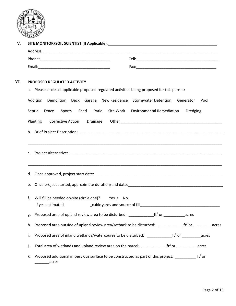

| PROPOSED REGULATED ACTIVITY<br>a. Please circle all applicable proposed regulated activities being proposed for this permit:<br>Addition Demolition Deck Garage New-Residence Stormwater-Detention Generator<br>Pool |                                                                                                                                    |  |  |  |
|----------------------------------------------------------------------------------------------------------------------------------------------------------------------------------------------------------------------|------------------------------------------------------------------------------------------------------------------------------------|--|--|--|
| Septic                                                                                                                                                                                                               | Sports<br>Shed Patio<br>Site Work Environmental Remediation<br>Fence<br>Dredging                                                   |  |  |  |
|                                                                                                                                                                                                                      | Planting<br>Corrective Action Drainage                                                                                             |  |  |  |
|                                                                                                                                                                                                                      |                                                                                                                                    |  |  |  |
|                                                                                                                                                                                                                      |                                                                                                                                    |  |  |  |
|                                                                                                                                                                                                                      |                                                                                                                                    |  |  |  |
|                                                                                                                                                                                                                      |                                                                                                                                    |  |  |  |
| e.                                                                                                                                                                                                                   |                                                                                                                                    |  |  |  |
| f.                                                                                                                                                                                                                   | Will fill be needed on-site (circle one)? Yes / No                                                                                 |  |  |  |
|                                                                                                                                                                                                                      | g. Proposed area of upland review area to be disturbed: $\frac{1}{2}$ exerce $\frac{1}{2}$ or $\frac{1}{2}$ or $\frac{1}{2}$ acres |  |  |  |
| h.                                                                                                                                                                                                                   | Proposed area outside of upland review area/setback to be disturbed: ___________________tt <sup>2</sup> or ____________<br>acres   |  |  |  |
| i.                                                                                                                                                                                                                   | Proposed area of inland wetlands/watercourse to be disturbed: ___________________tt <sup>2</sup> or ___________acres               |  |  |  |
| j.                                                                                                                                                                                                                   | acres                                                                                                                              |  |  |  |
| k.                                                                                                                                                                                                                   | Proposed additional impervious surface to be constructed as part of this project: $\frac{1}{12}$ ft <sup>2</sup> or<br>acres       |  |  |  |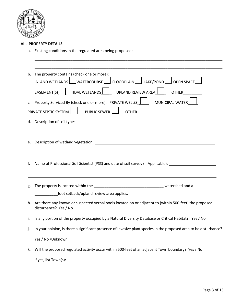

#### **VII. PROPERTY DETAILS**

a. Existing conditions in the regulated area being proposed:

| b. |                                                                                                                                                                                                                         |  |  |
|----|-------------------------------------------------------------------------------------------------------------------------------------------------------------------------------------------------------------------------|--|--|
|    | The property contains (check one or more):                                                                                                                                                                              |  |  |
|    | INLAND WETLANDS   WATERCOURSE   FLOODPLAIN   LAKE/POND<br>OPEN SPACE                                                                                                                                                    |  |  |
|    | TIDAL WETLANDS  <br>EASEMENT(S)<br>UPLAND REVIEW AREA<br><b>OTHER</b>                                                                                                                                                   |  |  |
| c. | Property Serviced By (check one or more): PRIVATE WELL(S)  <br>MUNICIPAL WATER                                                                                                                                          |  |  |
|    | PUBLIC SEWER<br><b>PRIVATE SEPTIC SYSTEM</b><br><b>OTHER</b> _______________________                                                                                                                                    |  |  |
|    |                                                                                                                                                                                                                         |  |  |
|    |                                                                                                                                                                                                                         |  |  |
| e. |                                                                                                                                                                                                                         |  |  |
|    |                                                                                                                                                                                                                         |  |  |
|    | ,我们也不会有什么。""我们的人,我们也不会有什么?""我们的人,我们也不会有什么?""我们的人,我们也不会有什么?""我们的人,我们也不会有什么?""我们的人                                                                                                                                        |  |  |
| f. | Name of Professional Soil Scientist (PSS) and date of soil survey (If Applicable): __________________________                                                                                                           |  |  |
|    |                                                                                                                                                                                                                         |  |  |
|    |                                                                                                                                                                                                                         |  |  |
|    |                                                                                                                                                                                                                         |  |  |
| g. | foot setback/upland review area applies.                                                                                                                                                                                |  |  |
| h. | Are there any known or suspected vernal pools located on or adjacent to (within 500-feet) the proposed                                                                                                                  |  |  |
|    | disturbance? Yes / No                                                                                                                                                                                                   |  |  |
| i. | Is any portion of the property occupied by a Natural Diversity Database or Critical Habitat? Yes / No                                                                                                                   |  |  |
| j. |                                                                                                                                                                                                                         |  |  |
|    | Yes / No / Unknown                                                                                                                                                                                                      |  |  |
| k. | In your opinion, is there a significant presence of invasive plant species in the proposed area to be disturbance?<br>Will the proposed regulated activity occur within 500-feet of an adjacent Town boundary? Yes / No |  |  |
|    | If yes, list $Tom(s)$ :                                                                                                                                                                                                 |  |  |

\_\_\_\_\_\_\_\_\_\_\_\_\_\_\_\_\_\_\_\_\_\_\_\_\_\_\_\_\_\_\_\_\_\_\_\_\_\_\_\_\_\_\_\_\_\_\_\_\_\_\_\_\_\_\_\_\_\_\_\_\_\_\_\_\_\_\_\_\_\_\_\_\_\_\_\_\_\_\_\_\_\_\_\_\_\_\_\_\_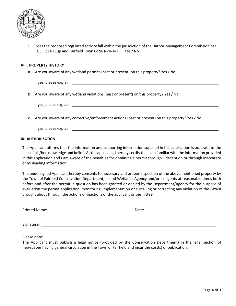

l. Does the proposed regulated activity fall within the jurisdiction of the Harbor Management Commission per CGS 22a‐113p and Fairfield Town Code § 24‐14? Yes / No

#### **VIII. PROPERTY HISTORY**

a. Are you aware of any wetland permits (past or present) on this property? Yes / No

If yes, please explain:

b. Are you aware of any wetland violations (past or present) on this property? Yes / No

If yes, please explain:

c. Are you aware of any corrective/enforcement actions (past or present) on this property? Yes / No

If yes, please explain:

#### **IX. AUTHORIZATION**

The Applicant affirms that the information and supporting information supplied in this application is accurate to the best of his/her knowledge and belief. As the applicant, I hereby certify that I am familiar with the information provided in this application and I am aware of the penalties for obtaining a permit through deception or through inaccurate or misleading information.

The undersigned Applicant hereby consents to necessary and proper inspection of the above mentioned property by the Town of Fairfield Conservation Department, Inland Wetlands Agency and/or its agents at reasonable times both before and after the permit in question has been granted or denied by the Department/Agency for the purpose of evaluation the permit application, monitoring, implementation or curtailing or correcting any violation of the IWWR brought about through the actions or inactions of the applicant or permittee.

| <b>Printed Name:</b> | Dale: |
|----------------------|-------|
|                      |       |

Signature: with the state of the state of the state of the state of the state of the state of the state of the state of the state of the state of the state of the state of the state of the state of the state of the state o

Please note:

The Applicant must publish a legal notice (provided by the Conservation Department) in the legal section of newspaper having general circulation in the Town of Fairfield and incur the cost(s) of publication.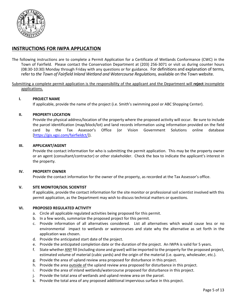

#### **INSTRUCTIONS FOR IWPA APPLICATION**

The following instructions are to complete a Permit Application for a Certificate of Wetlands Conformance (CWC) in the Town of Fairfield. Please contact the Conservation Department at (203) 256‐3071 or visit us during counter hours (08:30‐10:30) Monday through Friday with any questions or for guidance. For definitions and explanation of terms, refer to *the Town of Fairfield Inland Wetland and Watercourse Regulations,* available on the Town website.

Submitting a complete permit application is the responsibility of the applicant and the Department will **reject** incomplete applications.

#### **I. PROJECT NAME**

If applicable, provide the name of the project (i.e. Smith's swimming pool or ABC Shopping Center).

#### **II. PROPERTY LOCATION**

Provide the physical address/location of the property where the proposed activity will occur. Be sure to include the parcel identification (map/block/lot) and land records information using information provided on the field card by the Tax Assessor's Office (or Vision Government Solutions online database [https://gis.vgsi.com/fairfieldct/]).

#### **III. APPLICANT/AGENT**

Provide the contact information for who is submitting the permit application. This may be the property owner or an agent (consultant/contractor) or other stakeholder. Check the box to indicate the applicant's interest in the property.

#### **IV. PROPERTY OWNER**

Provide the contact information for the owner of the property, as recorded at the Tax Assessor's office.

#### **V. SITE MONITOR/SOIL SCIENTIST**

If applicable, provide the contact information for the site monitor or professional soil scientist involved with this permit application, as the Department may wish to discuss technical matters or questions.

#### **VI. PROPOSED REGULATED ACTIVITY**

- a. Circle all applicable regulated activities being proposed for this permit.
- b. In a few words, summarize the proposed project for this permit.
- c. Provide information of all alternatives considered. List all alternatives which would cause less or no environmental impact to wetlands or watercourses and state why the alternative as set forth in the application was chosen.
- d. Provide the anticipated start date of the project.
- e. Provide the anticipated completion date or the duration of the project. An IWPA is valid for 5 years.
- f. State whether ANY fill (including stone and gravel) will be imported to the property for the proposed project, estimated volume of material (cubic yards) and the origin of the material (i.e. quarry, wholesaler, etc.).
- g. Provide the area of upland review area proposed for disturbance in this project.
- h. Provide the area outside of the upland review area proposed for disturbance in this project.
- i. Provide the area of inland wetlands/watercourse proposed for disturbance in this project.
- j. Provide the total area of wetlands and upland review area on the parcel.
- k. Provide the total area of any proposed additional impervious surface in this project.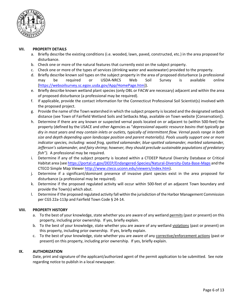

#### **VII. PROPERTY DETAILS**

- a. Briefly describe the existing conditions (i.e. wooded, lawn, paved, constructed, etc.) in the area proposed for disturbance.
- b. Check one or more of the natural features that currently exist on the subject property.
- c. Check one or more of the types of services (drinking water and wastewater) provided to the property.
- d. Briefly describe known soil types on the subject property in the area of proposed disturbance (a professional may be required or USDA‐NRCS Web Soil Survey is available online [https://websoilsurvey.sc.egov.usda.gov/App/HomePage.htm]).
- e. Briefly describe known wetland plant species (only OBL or FACW are necessary) adjacent and within the area of proposed disturbance (a professional may be required).
- f. If applicable, provide the contact information for the Connecticut Professional Soil Scientist(s) involved with the proposed project.
- g. Provide the name of the Town watershed in which the subject property is located and the designated setback distance (see Town of Fairfield Wetland Soils and Setbacks Map, available on Town website [Conservation]).
- h. Determine if there are any known or suspected vernal pools located on or adjacent to (within 500‐feet) the property (defined by the USACE and other Agencies as "*depressional aquatic resource basins that typically go dry in most years and may contain inlets or outlets, typically of intermittent flow. Vernal pools range in both size and depth depending upon landscape position and parent material(s). Pools usually support one or more indicator species, including: wood frog, spotted salamander, blue‐spotted salamander, marbled salamander, Jefferson's salamander, and fairy shrimp; however, they should preclude sustainable populations of predatory fish").*  A professional may be required.
- i. Determine if any of the subject property is located within a CTDEEP Natural Diversity Database or Critical Habitat area (see https://portal.ct.gov/DEEP/Endangered-Species/Natural-Diversity-Data-Base-Maps and the CTECO Simple Map Viewer http://www.cteco.uconn.edu/viewers/index.htm).
- j. Determine if a significant/dominant presence of invasive plant species exist in the area proposed for disturbance (a professional may be required).
- k. Determine if the proposed regulated activity will occur within 500‐feet of an adjacent Town boundary and provide the Town(s) which abut.
- l. Determine if the proposed regulated activity fall within the jurisdiction of the Harbor Management Commission per CGS 22a‐113p and Fairfield Town Code § 24‐14.

#### **VIII. PROPERTY HISTORY**

- a. To the best of your knowledge, state whether you are aware of any wetland permits (past or present) on this property, including prior ownership. If yes, briefly explain.
- b. To the best of your knowledge, state whether you are aware of any wetland violations (past or present) on this property, including prior ownership. If yes, briefly explain.
- c. To the best of your knowledge, state whether you are aware of any corrective/enforcement actions (past or present) on this property, including prior ownership. If yes, briefly explain.

#### **IX. AUTHORIZATION**

Date, print and signature of the applicant/authorized agent of the permit application to be submitted. See note regarding notice to publish in a local newspaper.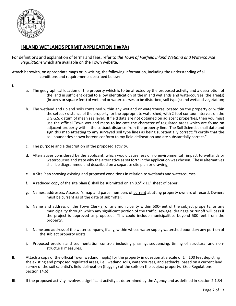

#### **INLAND WETLANDS PERMIT APPLICATION (IWPA)**

For definitions and explanation of terms and fees, refer to *the Town of Fairfield Inland Wetland and Watercourse Regulations* which are available on the Town website.

Attach herewith, on appropriate maps or in writing, the following information, including the understanding of all conditions and requirements described below:

- **I.**
- a. The geographical location of the property which is to be affected by the proposed activity and a description of the land in sufficient detail to allow identification of the inland wetlands and watercourses, the area(s) (in acres or square feet) of wetland or watercourses to be disturbed, soil type(s) and wetland vegetation;
- b. The wetland and upland soils contained within any wetland or watercourse located on the property or within the setback distance of the property for the appropriate watershed, with 2‐foot contour intervals on the U.S.G.S. datum of mean sea level. If field data are not obtained on adjacent properties, then you must use the official Town wetland maps to indicate the character of regulated areas which are found on adjacent property within the setback distance from the property line. The Soil Scientist shall date and sign this map attesting to any surveyed soil type lines as being substantially correct: "I certify that the soil boundaries shown hereon conform to my field delineation and are substantially correct."
- c. The purpose and a description of the proposed activity.
- d. Alternatives considered by the applicant, which would cause less or no environmental impact to wetlands or watercourses and state why the alternative as set forth in the application was chosen. These alternatives shall be diagrammed and described on a separate site plan or drawing;
- e. A Site Plan showing existing and proposed conditions in relation to wetlands and watercourses;
- f. A reduced copy of the site plan(s) shall be submitted on an 8.5"  $\times$  11" sheet of paper;
- g. Names, addresses, Assessor's map and parcel numbers of current abutting property owners of record. Owners must be current as of the date of submittal;
- h. Name and address of the Town Clerk(s) of any municipality within 500-feet of the subject property, or any municipality through which any significant portion of the traffic, sewage, drainage or runoff will pass if the project is approved as proposed. This could include municipalities beyond 500-feet from the property.
- i. Name and address of the water company, if any, within whose water supply watershed boundary any portion of the subject property exists.
- j. Proposed erosion and sedimentation controls including phasing, sequencing, timing of structural and non‐ structural measures.
- **II.** Attach a copy of the official Town wetland map(s) for the property in question at a scale of 1"=100 feet depicting the existing and proposed regulated areas, i.e., wetland soils, watercourses, and setbacks, based on a current land survey of the soil scientist's field delineation (flagging) of the soils on the subject property. (See Regulations Section 14.6)
- **III**. If the proposed activity involves a significant activity as determined by the Agency and as defined in section 2.1.34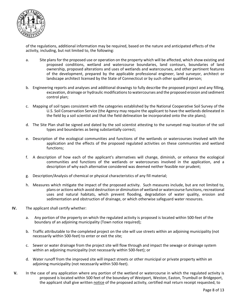

 of the regulations, additional information may be required, based on the nature and anticipated effects of the activity, including, but not limited to, the following:

- a. Site plans for the proposed use or operation on the property which will be affected, which show existing and proposed conditions, wetland and watercourse boundaries, land contours, boundaries of land ownership, proposed alterations and uses of wetlands and watercourses, and other pertinent features of the development, prepared by the applicable professional engineer, land surveyor, architect or landscape architect licensed by the State of Connecticut or by such other qualified person;
- b. Engineering reports and analyses and additional drawings to fully describe the proposed project and any filling, excavation, drainage or hydraulic modifications to watercourses and the proposed erosion and sediment control plan;
- c. Mapping of soil types consistent with the categories established by the National Cooperative Soil Survey of the U.S. Soil Conservation Service (the Agency may require the applicant to have the wetlands delineated in the field by a soil scientist and that the field delineation be incorporated onto the site plans);
- d. The Site Plan shall be signed and dated by the soil scientist attesting to the surveyed map location of the soil types and boundaries as being substantially correct;
- e. Description of the ecological communities and functions of the wetlands or watercourses involved with the application and the effects of the proposed regulated activities on these communities and wetland functions;
- f. A description of how each of the applicant's alternatives will change, diminish, or enhance the ecological communities and functions of the wetlands or watercourses involved in the application, and a description of why each alternative considered was deemed neither feasible nor prudent;
- g. Description/Analysis of chemical or physical characteristics of any fill material;
- h. Measures which mitigate the impact of the proposed activity. Such measures include, but are not limited to, plans or actions which avoid destruction or diminution of wetland or watercourse functions, recreational uses and natural habitats, which prevent flooding, degradation of water quality, erosion and sedimentation and obstruction of drainage, or which otherwise safeguard water resources.
- **IV.** The applicant shall certify whether:
	- a. Any portion of the property on which the regulated activity is proposed is located within 500‐feet of the boundary of an adjoining municipality (Town notice required);
	- b. Traffic attributable to the completed project on the site will use streets within an adjoining municipality (not necessarily within 500‐feet) to enter or exit the site;
	- c. Sewer or water drainage from the project site will flow through and impact the sewage or drainage system within an adjoining municipality (not necessarily within 500-feet); or
	- d. Water runoff from the improved site will impact streets or other municipal or private property within an adjoining municipality (not necessarily within 500‐feet).
- **V.** In the case of any application where any portion of the wetland or watercourse in which the regulated activity is proposed is located within 500 feet of the boundary of Westport, Weston, Easton, Trumbull or Bridgeport, the applicant shall give written notice of the proposed activity, certified mail return receipt requested, to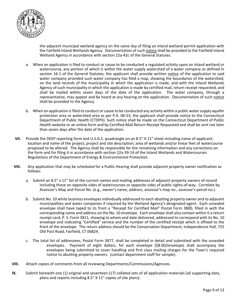

 the adjacent municipal wetland agency on the same day of filing an inland wetland permit application with the Fairfield Inland Wetlands Agency. Documentation of such notice shall be provided to the Fairfield Inland Wetland Agency in accordance with section 22a‐42c of the General Statutes.

- a. When an application is filed to conduct or cause to be conducted a regulated activity upon an inland wetland or watercourse, any portion of which is within the water supply watershed of a water company as defined in section 16-1 of the General Statutes, the applicant shall provide written notice of the application to said water company provided such water company has filed a map, showing the boundaries of the watershed, on the land records of the municipality in which the application is made, and with the Inland Wetlands Agency of such municipality in which the application is made by certified mail, return receipt requested, and shall be mailed within seven days of the date of the application. The water company, through a representative, may appear and be heard at any hearing on the application. Documentation of such notice shall be provided to the Agency.
- b. When an application is filed to conduct or cause to be conducted any activity within a public water supply aquifer protection area or watershed area as per P.A. 06‐53, the applicant shall provide notice to the Connecticut Department of Public Health (CTDPH). Such notice shall be made on the Connecticut Department of Public Health website or an online form and by Certified Mail Return Receipt Requested and shall be sent not later than seven days after the date of the application.
- **VII.** Provide the DEEP reporting form and U.S.G.S. quadrangle on an 8.5" X 11" sheet including name of applicant; location and name of the project; project and site description; area of wetlands and/or linear feet of watercourse proposed to be altered. The Agency shall be responsible for the remaining information and any corrections on the form and for filing it in accordance with section 22a-39-14 of the Inland Wetlands and Watercourses Regulations of the Department of Energy & Environmental Protection.
- **VIII.** Any application that may be scheduled for a Public Hearing shall provide adjacent property owner notification as follows:
	- a. Submit an 8.5" x 11" list of the current names and mailing addresses of adjacent property owners of record including those on opposite sides of watercourses or opposite sides of public rights‐of‐way. Correlate by Assessor's Map and Parcel No. (e.g., owner's name, address, assessor's map no., assessor's parcel no.).
	- b. Submit No. 10 white business envelopes individually addressed to each abutting property owner and to adjacent municipalities and water companies if required by the Wetland Agency's designated agent. Each unsealed envelope shall have taped to its front a "Receipt for Certified Mail" Postal Form 3800, filled in with the corresponding name and address on the No. 10 envelope. Each envelope shall also contain within it a return receipt card, P. S. Form 3811, showing to whom and date delivered, addressed to correspond with its No. 10 envelope and indicating "Certified" service and the number of the certified receipt which is affixed to the front of the envelope. The return address should be the Conservation Department, Independence Hall, 725 Old Post Road, Fairfield, CT 06824.
	- c. The total list of addressees, Postal Form 3877, shall be completed in detail and submitted with the unsealed envelopes. Payment of eight dollars, for each envelope (\$8.00/envelope) shall accompany the envelopes being submitted to cover handling and first class mailing charges for the Town's required notice to abutting property owners. (contact department staff for sample).
- **VIII.** Attach copies of comments from all reviewing Departments/Commissions/Agencies.
- **IX.** Submit herewith one (1) original and seventeen (17) collated sets of all application materials (all supporting data, plans and reports including 8.5" X 11" copies of site plans).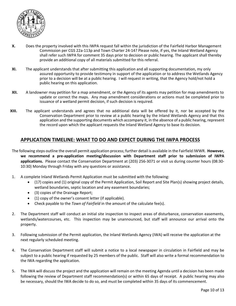

- **X.** Does the property involved with this IWPA request fall within the jurisdiction of the Fairfield Harbor Management Commission per CGS 22a‐113p and Town Charter 24‐14? Please note, if yes, the Inland Wetland Agency shall refer such IWPA for comment 35 days prior to decision or public hearing. The applicant shall thereby provide an additional copy of all materials submitted for this referral.
- **XI.** The applicant understands that after submitting this application and all supporting documentation, my only assured opportunity to provide testimony in support of the application or to address the Wetlands Agency prior to a decision will be at a public hearing. I will request in writing, that the Agency hold/not hold a public hearing on this application.
- **XII.** A landowner may petition for a map amendment, or the Agency of its agents may petition for map amendments to update or correct the maps. Any map amendment considerations or actions must be completed prior to issuance of a wetland permit decision, if such decision is required.
- **XIII.** The applicant understands and agrees that no additional data will be offered by it, nor be accepted by the Conservation Department prior to review at a public hearing by the Inland Wetlands Agency and that this application and the supporting documents which accompany it, in the absence of a public hearing, represent the record upon which the applicant requests the Inland Wetland Agency to base its decision.

#### **APPLICATION TIMELINE: WHAT TO DO AND EXPECT DURING THE IWPA PROCESS**

- The following steps outline the overall permit application process; further detail is available in the Fairfield IWWR. **However, we recommend a pre‐application meeting/discussion with Department staff prior to submission of IWPA applications.** Please contact the Conservation Department at (203) 256‐3071 or visit us during counter hours (08:30‐ 10:30) Monday through Friday with any questions or assistance.
- 1. A complete Inland Wetlands Permit Application must be submitted with the following:
	- (17) copies and (1) original copy of the Permit Application, Soil Report and Site Plan(s) showing project details, wetland boundaries, septic location and any easement boundaries;
	- (3) copies of the Drainage Report;
	- (1) copy of the owner's consent letter (if applicable).
	- Check payable to the *Town of Fairfield* in the amount of the calculate fee(s).
- 2. The Department staff will conduct an initial site inspection to inspect areas of disturbance, conservation easements, wetlands/watercourses, etc. This inspection may be unannounced, but staff will announce our arrival onto the property.
- 3. Following submission of the Permit application, the Inland Wetlands Agency (IWA) will receive the application at the next regularly scheduled meeting.
- 4. The Conservation Department staff will submit a notice to a local newspaper in circulation in Fairfield and may be subject to a public hearing if requested by 25 members of the public. Staff will also write a formal recommendation to the IWA regarding the application.
- 5. The IWA will discuss the project and the application will remain on the meeting Agenda until a decision has been made following the review of Department staff recommendation(s) or within 65 days of receipt. A public hearing may also be necessary, should the IWA decide to do so, and must be completed within 35 days of its commencement.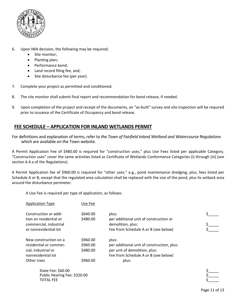

- 6. Upon IWA decision, the following may be required;
	- Site monitor;
	- Planting plan;
	- Performance bond;
	- Land record filing fee, and;
	- Site disturbance fee (per year).
- 7. Complete your project as permitted and conditioned.
- 8. The site monitor shall submit final report and recommendation for bond release, if needed.
- 9. Upon completion of the project and receipt of the documents, an "as-built" survey and site inspection will be required prior to issuance of the Certificate of Occupancy and bond release.

#### **FEE SCHEDULE – APPLICATION FOR INLAND WETLANDS PERMIT**

For definitions and explanation of terms, refer to *the Town of Fairfield Inland Wetland and Watercourse Regulations* which are available on the Town website.

A Permit Application Fee of \$480.00 is required for "construction uses," plus Use Fees listed per applicable Category. "Construction uses" cover the same activities listed as Certificate of Wetlands Conformance Categories (i) through (iii) (see section 6.4.a of the Regulations).

A Permit Application fee of \$960.00 is required for "other uses," e.g., pond maintenance dredging; plus, fees listed per Schedule A or B, except that the regulated area calculation shall be replaced with the size of the pond, plus its setback area around the disturbance perimeter.

A Use Fee is required per type of application, as follows:

| <b>Application Type</b> | Use Fee  |                                            |  |
|-------------------------|----------|--------------------------------------------|--|
| Construction or addi-   | \$640.00 | plus:                                      |  |
| tion on residential or  | \$480.00 | per additional unit of construction or     |  |
| commercial, industrial  |          | demolition, plus:                          |  |
| or nonresidential lot   |          | Fee from Schedule A or B (see below)       |  |
| New construction on a   | \$960.00 | plus:                                      |  |
| residential or commer-  | \$960.00 | per additional unit of construction, plus: |  |
| cial, industrial or     | \$480.00 | per unit of demolition, plus:              |  |
| nonresidential lot      |          | Fee from Schedule A or B (see below)       |  |
| Other Uses              | \$960.00 | plus:                                      |  |

State Fee: \$60.00 Public Hearing Fee: \$320.00<br>TOTAL FEE TOTAL FEE  $\zeta$  and the set of  $\zeta$  and the set of  $\zeta$  and  $\zeta$  and  $\zeta$  and  $\zeta$  and  $\zeta$  and  $\zeta$  and  $\zeta$  and  $\zeta$  and  $\zeta$  and  $\zeta$  and  $\zeta$  and  $\zeta$  and  $\zeta$  and  $\zeta$  and  $\zeta$  and  $\zeta$  and  $\zeta$  and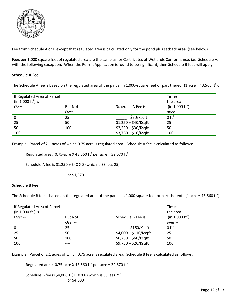

Fee from Schedule A or B except that regulated area is calculated only for the pond plus setback area. (see below)

Fees per 1,000 square feet of regulated area are the same as for Certificates of Wetlands Conformance, i.e., Schedule A, with the following exception: When the Permit Application is found to be significant, then Schedule B fees will apply.

#### **Schedule A Fee**

The Schedule A fee is based on the regulated area of the parcel in 1,000-square feet or part thereof (1 acre = 43,560 ft<sup>2</sup>).

| If Regulated Area of Parcel<br>(in 1,000 ft <sup>2</sup> ) is |                |                       | <b>Times</b><br>the area    |
|---------------------------------------------------------------|----------------|-----------------------|-----------------------------|
| $Over -$                                                      | <b>But Not</b> | Schedule A Fee is     | (in 1,000 ft <sup>2</sup> ) |
|                                                               | $Over -$       |                       | over--                      |
| 0                                                             | 25             | \$50/Ksqft            | 0 ft <sup>2</sup>           |
| 25                                                            | 50             | $$1,250 + $40$ /Ksqft | 25                          |
| 50                                                            | 100            | \$2,250 + \$30/Ksqft  | 50                          |
| 100                                                           | ----           | $$3,750 + $10/Ksqft$  | 100                         |

Example: Parcel of 2.1 acres of which 0**.**75 acre is regulated area. Schedule A fee is calculated as follows:

Regulated area:  $0.75$ -acre X 43,560 ft<sup>2</sup> per acre = 32,670 ft<sup>2</sup>

Schedule A fee is \$1,250 + \$40 X 8 (which is 33 less 25)

#### or \$1,570

#### **Schedule B Fee**

The Schedule B fee is based on the regulated area of the parcel in 1,000 square feet or part thereof. (1 acre = 43,560 ft<sup>2</sup>)

| If Regulated Area of Parcel<br>(in 1,000 ft <sup>2</sup> ) is<br>$Over -$ | <b>But Not</b> | Schedule B Fee is      | <b>Times</b><br>the area<br>(in 1,000 ft <sup>2</sup> ) |
|---------------------------------------------------------------------------|----------------|------------------------|---------------------------------------------------------|
|                                                                           | $Over -$       |                        | over--                                                  |
| 0                                                                         | 25             | \$160/Ksqft            | 0 ft <sup>2</sup>                                       |
| 25                                                                        | 50             | $$4,000 + $110/K$ sqft | 25                                                      |
| 50                                                                        | 100            | $$6,750 + $60$ /Ksqft  | 50                                                      |
| 100                                                                       | ----           | \$9,750 + \$20/Ksqft   | 100                                                     |

Example: Parcel of 2.1 acres of which 0**.**75 acre is regulated area. Schedule B fee is calculated as follows:

Regulated area:  $0.75$ -acre X 43,560 ft<sup>2</sup> per acre = 32,670 ft<sup>2</sup>

 Schedule B fee is \$4,000 + \$110 X 8 (which is 33 less 25) or \$4,880